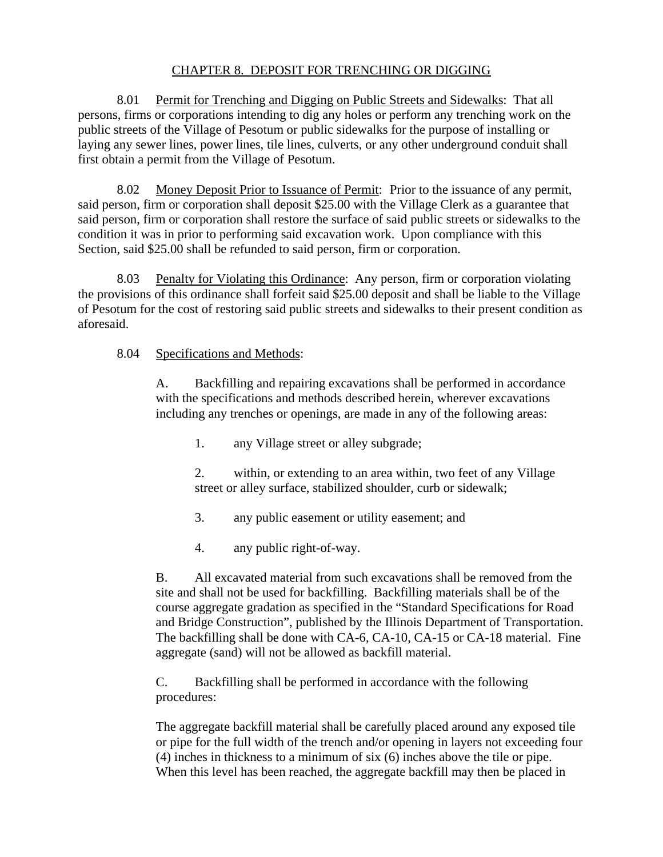## CHAPTER 8. DEPOSIT FOR TRENCHING OR DIGGING

8.01 Permit for Trenching and Digging on Public Streets and Sidewalks: That all persons, firms or corporations intending to dig any holes or perform any trenching work on the public streets of the Village of Pesotum or public sidewalks for the purpose of installing or laying any sewer lines, power lines, tile lines, culverts, or any other underground conduit shall first obtain a permit from the Village of Pesotum.

8.02 Money Deposit Prior to Issuance of Permit: Prior to the issuance of any permit, said person, firm or corporation shall deposit \$25.00 with the Village Clerk as a guarantee that said person, firm or corporation shall restore the surface of said public streets or sidewalks to the condition it was in prior to performing said excavation work. Upon compliance with this Section, said \$25.00 shall be refunded to said person, firm or corporation.

8.03 Penalty for Violating this Ordinance: Any person, firm or corporation violating the provisions of this ordinance shall forfeit said \$25.00 deposit and shall be liable to the Village of Pesotum for the cost of restoring said public streets and sidewalks to their present condition as aforesaid.

## 8.04 Specifications and Methods:

A. Backfilling and repairing excavations shall be performed in accordance with the specifications and methods described herein, wherever excavations including any trenches or openings, are made in any of the following areas:

- 1. any Village street or alley subgrade;
- 2. within, or extending to an area within, two feet of any Village street or alley surface, stabilized shoulder, curb or sidewalk;
- 3. any public easement or utility easement; and
- 4. any public right-of-way.

B. All excavated material from such excavations shall be removed from the site and shall not be used for backfilling. Backfilling materials shall be of the course aggregate gradation as specified in the "Standard Specifications for Road and Bridge Construction", published by the Illinois Department of Transportation. The backfilling shall be done with CA-6, CA-10, CA-15 or CA-18 material. Fine aggregate (sand) will not be allowed as backfill material.

C. Backfilling shall be performed in accordance with the following procedures:

The aggregate backfill material shall be carefully placed around any exposed tile or pipe for the full width of the trench and/or opening in layers not exceeding four (4) inches in thickness to a minimum of six (6) inches above the tile or pipe. When this level has been reached, the aggregate backfill may then be placed in